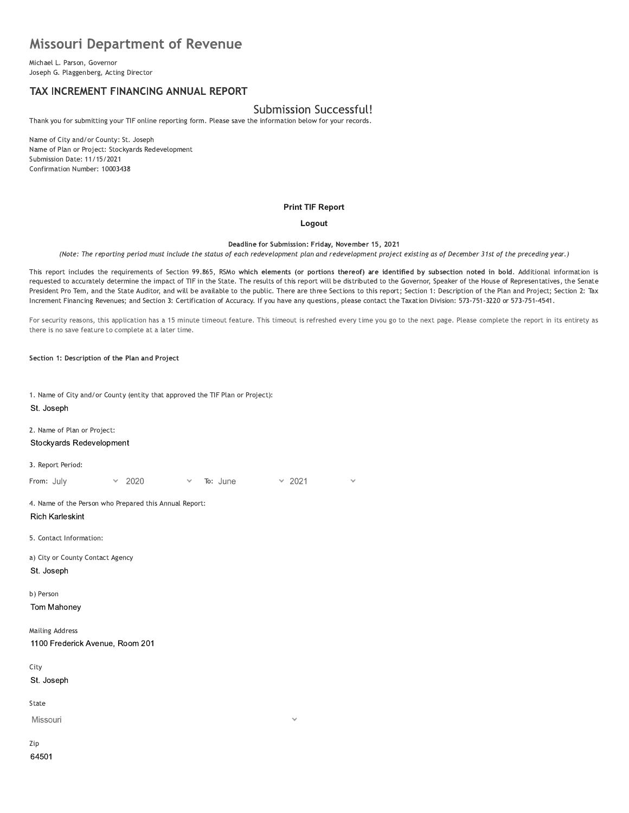# **Missouri Department of Revenue**

Michael L. Parson, Governor Joseph G. Plaggenberg, Acting Director

## TAX INCREMENT FINANCING ANNUAL REPORT

# Submission Successful!

Thank you for submitting your TIF online reporting form. Please save the information below for your records.

Name of City and/or County: St. Joseph Name of Plan or Project: Stockyards Redevelopment Submission Date: 11/15/2021 Confirmation Number: 10003438

#### **Print TIF Report**

#### Logout

Deadline for Submission: Friday, November 15, 2021

(Note: The reporting period must include the status of each redevelopment plan and redevelopment project existing as of December 31st of the preceding year.)

This report includes the requirements of Section 99.865, RSMo which elements (or portions thereof) are identified by subsection noted in bold. Additional information is requested to accurately determine the impact of TIF in the State. The results of this report will be distributed to the Governor, Speaker of the House of Representatives, the Senate President Pro Tem, and the State Auditor, and will be available to the public. There are three Sections to this report; Section 1: Description of the Plan and Project; Section 2: Tax Increment Financing Revenues; and Section 3: Certification of Accuracy. If you have any questions, please contact the Taxation Division: 573-751-3220 or 573-751-4541.

For security reasons, this application has a 15 minute timeout feature. This timeout is refreshed every time you go to the next page. Please complete the report in its entirety as there is no save feature to complete at a later time.

Section 1: Description of the Plan and Project

1. Name of City and/or County (entity that approved the TIF Plan or Project): St. Joseph

2. Name of Plan or Project: Stockyards Redevelopment

3. Report Period:

 $\times$  2021 From: July 2020 To: June

4. Name of the Person who Prepared this Annual Report: **Rich Karleskint** 

5. Contact Information:

a) City or County Contact Agency St. Joseph

b) Person

Tom Mahoney

**Mailing Address** 1100 Frederick Avenue, Room 201

City

St. Joseph

State

Missouri

Zip 64501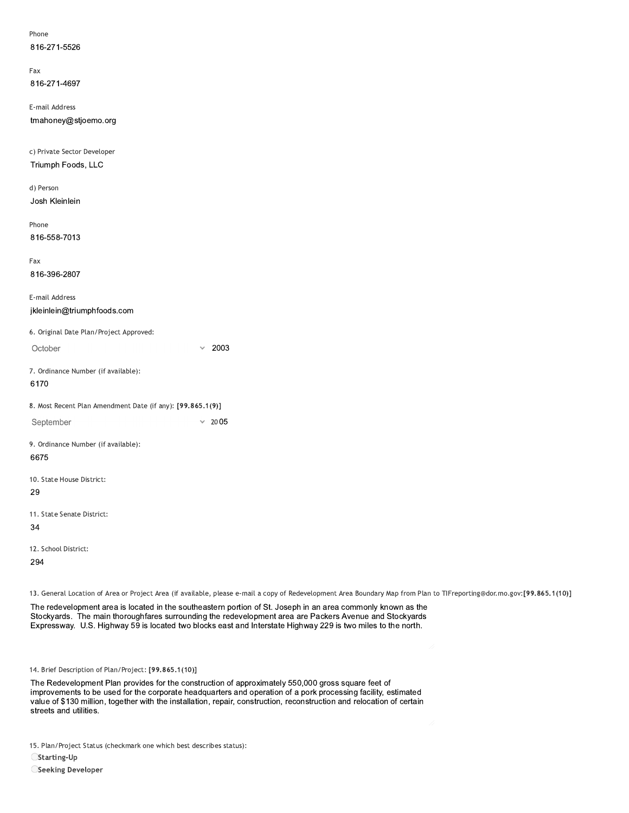| Phone                                                      |                                                                                                                                                                                                                                                                                                                                         |
|------------------------------------------------------------|-----------------------------------------------------------------------------------------------------------------------------------------------------------------------------------------------------------------------------------------------------------------------------------------------------------------------------------------|
| 816-271-5526                                               |                                                                                                                                                                                                                                                                                                                                         |
|                                                            |                                                                                                                                                                                                                                                                                                                                         |
| Fax                                                        |                                                                                                                                                                                                                                                                                                                                         |
| 816-271-4697                                               |                                                                                                                                                                                                                                                                                                                                         |
| E-mail Address                                             |                                                                                                                                                                                                                                                                                                                                         |
| tmahoney@stjoemo.org                                       |                                                                                                                                                                                                                                                                                                                                         |
| c) Private Sector Developer                                |                                                                                                                                                                                                                                                                                                                                         |
| Triumph Foods, LLC                                         |                                                                                                                                                                                                                                                                                                                                         |
| d) Person                                                  |                                                                                                                                                                                                                                                                                                                                         |
| Josh Kleinlein                                             |                                                                                                                                                                                                                                                                                                                                         |
| Phone                                                      |                                                                                                                                                                                                                                                                                                                                         |
| 816-558-7013                                               |                                                                                                                                                                                                                                                                                                                                         |
| Fax                                                        |                                                                                                                                                                                                                                                                                                                                         |
| 816-396-2807                                               |                                                                                                                                                                                                                                                                                                                                         |
| E-mail Address                                             |                                                                                                                                                                                                                                                                                                                                         |
| jkleinlein@triumphfoods.com                                |                                                                                                                                                                                                                                                                                                                                         |
| 6. Original Date Plan/Project Approved:                    |                                                                                                                                                                                                                                                                                                                                         |
| October                                                    | 2003<br>$\checkmark$                                                                                                                                                                                                                                                                                                                    |
| 7. Ordinance Number (if available):                        |                                                                                                                                                                                                                                                                                                                                         |
| 6170                                                       |                                                                                                                                                                                                                                                                                                                                         |
| 8. Most Recent Plan Amendment Date (if any): [99.865.1(9)] |                                                                                                                                                                                                                                                                                                                                         |
| September                                                  | $\times$ 2005                                                                                                                                                                                                                                                                                                                           |
| 9. Ordinance Number (if available):                        |                                                                                                                                                                                                                                                                                                                                         |
| 6675                                                       |                                                                                                                                                                                                                                                                                                                                         |
|                                                            |                                                                                                                                                                                                                                                                                                                                         |
| 29                                                         |                                                                                                                                                                                                                                                                                                                                         |
|                                                            |                                                                                                                                                                                                                                                                                                                                         |
| 34                                                         |                                                                                                                                                                                                                                                                                                                                         |
| 12. School District:                                       |                                                                                                                                                                                                                                                                                                                                         |
| 294                                                        |                                                                                                                                                                                                                                                                                                                                         |
| 10. State House District:<br>11. State Senate District:    |                                                                                                                                                                                                                                                                                                                                         |
|                                                            |                                                                                                                                                                                                                                                                                                                                         |
|                                                            |                                                                                                                                                                                                                                                                                                                                         |
|                                                            |                                                                                                                                                                                                                                                                                                                                         |
|                                                            |                                                                                                                                                                                                                                                                                                                                         |
|                                                            | 13. General Location of Area or Project Area (if available, please e-mail a copy of Redevelopment Area Boundary Map from Plan to                                                                                                                                                                                                        |
|                                                            | The redevelopment area is located in the southeastern portion of St. Joseph in an area commonly known as the<br>Stockyards. The main thoroughfares surrounding the redevelopment area are Packers Avenue and Stockyards<br>Expressway. U.S. Highway 59 is located two blocks east and Interstate Highway 229 is two miles to the north. |
| 14. Brief Description of Plan/Project: [99.865.1(10)]      | 17                                                                                                                                                                                                                                                                                                                                      |
|                                                            | The Redevelopment Plan provides for the construction of approximately 550,000 gross square feet of<br>improvements to be used for the corporate headquarters and operation of a pork processing facility, estimated                                                                                                                     |

13. General Location of Area or Project Area (if available, please e-mail a copy of Redevelopment Area Boundary Map from Plan to TIFreporting@dor.mo.gov:[99.865.1(10)]

12. Scnoot District:<br>
294<br>
13. General Location of Area or Project Area (if available, please e-mail a copy of Redevelopment Area Boundary Map from Plan to TlFreporting®dor.<br>
The redevelopment area is located in the southe The Redevelopment Plan provides for the construction of approximately 550,000 gross square feet of improvements to be used for the corporate headquarters and operation of a pork processing facility, estimated value of \$130 million, together with the installation, repair, construction, reconstruction and relocation of certain<br>streets and utilities. 14. Brief Description of Plan/Project: [99.865.]<br>The Redevelopment Plan provides for the<br>improvements to be used for the corporat<br>value of \$130 million, together with the ins<br>streets and utilities.<br>15. Plan/Project Status

15. Plan/Project Status (checkmark one which best describes status):

 $\bigcirc$ Starting-Up

OSeeking Developer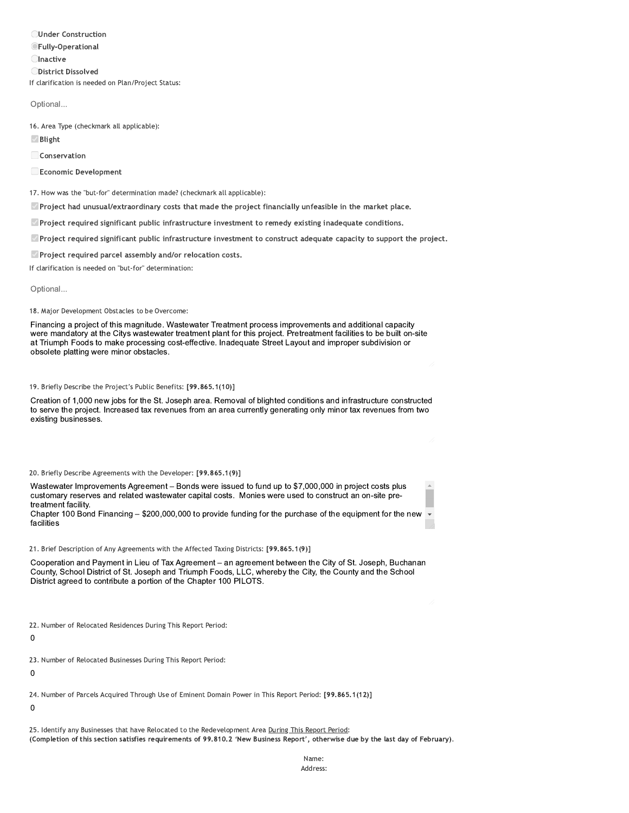**OUnder Construction OFully-Operational Olnactive ODistrict Dissolved** If clarification is needed on Plan/Project Status:

Optional...

16. Area Type (checkmark all applicable):

*⊠* Blight

Conservation

Economic Development

17. How was the "but-for" determination made? (checkmark all applicable):

Project had unusual/extraordinary costs that made the project financially unfeasible in the market place.

Project required significant public infrastructure investment to remedy existing inadequate conditions.

Project required significant public infrastructure investment to construct adequate capacity to support the project.

Project required parcel assembly and/or relocation costs.

If clarification is needed on "but-for" determination:

Optional...

18. Major Development Obstacles to be Overcome:

Financing a project of this magnitude. Wastewater Treatment process improvements and additional capacity were mandatory at the Citys wastewater treatment plant for this project. Pretreatment facilities to be built on-site at Triumph Foods to make processing cost-effective. Inadequate Street Layout and improper subdivision or obsolete platting were minor obstacles.

19. Briefly Describe the Project's Public Benefits: [99.865.1(10)]

Creation of 1,000 new jobs for the St. Joseph area. Removal of blighted conditions and infrastructure constructed to serve the project. Increased tax revenues from an area currently generating only minor tax revenues from two existing businesses.

20. Briefly Describe Agreements with the Developer: [99.865.1(9)]

Wastewater Improvements Agreement - Bonds were issued to fund up to \$7,000,000 in project costs plus customary reserves and related wastewater capital costs. Monies were used to construct an on-site pretreatment facility

Chapter 100 Bond Financing - \$200,000,000 to provide funding for the purchase of the equipment for the new ▼ facilities

21. Brief Description of Any Agreements with the Affected Taxing Districts: [99.865.1(9)]

Cooperation and Payment in Lieu of Tax Agreement - an agreement between the City of St. Joseph, Buchanan County, School District of St. Joseph and Triumph Foods, LLC, whereby the City, the County and the School District agreed to contribute a portion of the Chapter 100 PILOTS.

22. Number of Relocated Residences During This Report Period:

 $\overline{0}$ 

23. Number of Relocated Businesses During This Report Period:

 $\Omega$ 

24. Number of Parcels Acquired Through Use of Eminent Domain Power in This Report Period: [99.865.1(12)]

 $\mathbf 0$ 

25. Identify any Businesses that have Relocated to the Redevelopment Area During This Report Period: (Completion of this section satisfies requirements of 99.810.2 'New Business Report', otherwise due by the last day of February).

> Name: Address: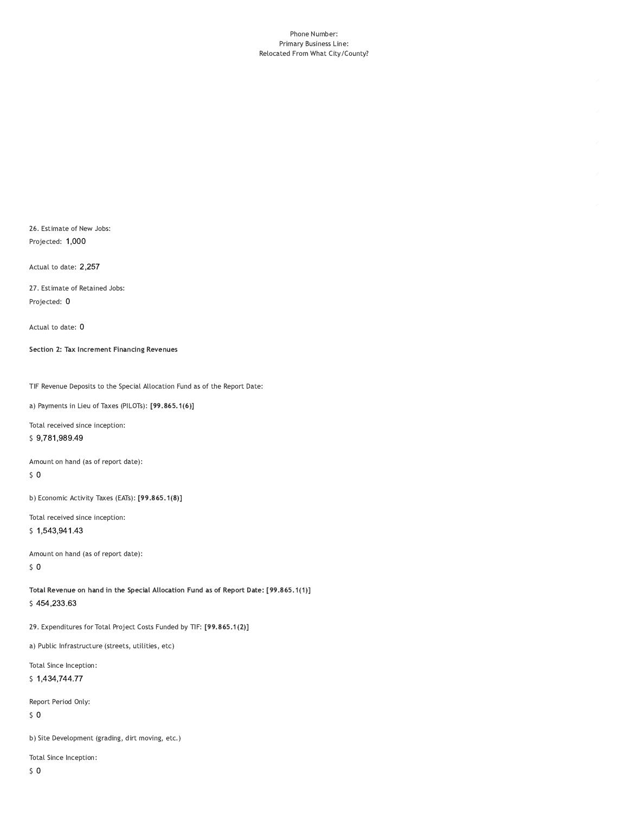#### Phone Number: Primary Business Line: Relocated From What City/County?

26. Estimate of New Jobs: Projected: 1,000

Actual to date: 2,257

27. Estimate of Retained Jobs: Projected: 0

Actual to date: 0

Section 2: Tax Increment Financing Revenues

TIF Revenue Deposits to the Special Allocation Fund as of the Report Date:

a) Payments in Lieu of Taxes (PILOTs): [99.865.1(6)]

Total received since inception: \$9,781,989.49

Amount on hand (as of report date):

 $\sqrt{5}$  O

b) Economic Activity Taxes (EATs): [99.865.1(8)]

Total received since inception:

\$1,543,941.43

Amount on hand (as of report date):  $50$ 

Total Revenue on hand in the Special Allocation Fund as of Report Date: [99.865.1(1)] \$454,233.63

29. Expenditures for Total Project Costs Funded by TIF: [99.865.1(2)]

a) Public Infrastructure (streets, utilities, etc)

Total Since Inception: \$1,434,744.77

Report Period Only:

 $\sqrt{5}$  O

b) Site Development (grading, dirt moving, etc.)

Total Since Inception: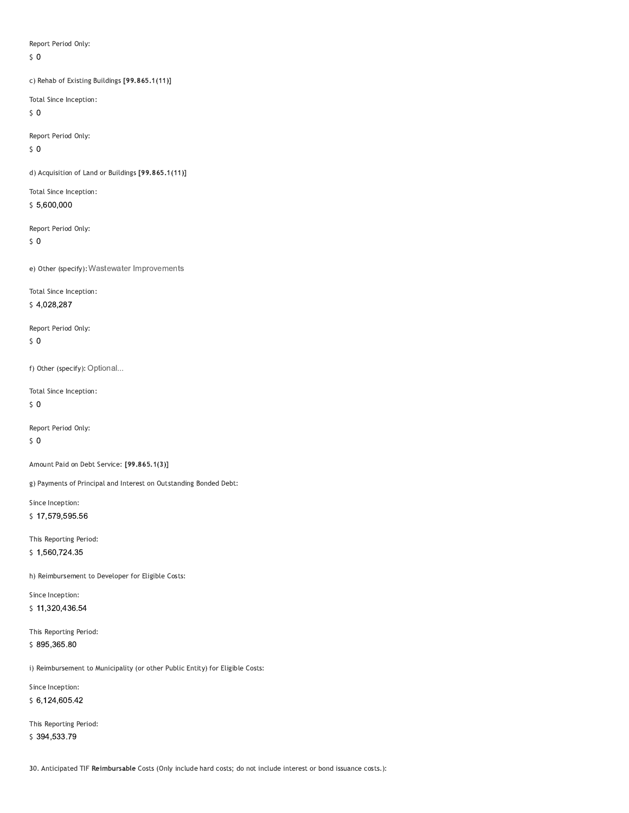Report Period Only:

 $\zeta$  0

c) Rehab of Existing Buildings [99.865.1(11)]

Total Since Inception:

 $\sqrt{5}$  O

Report Period Only:  $50$ 

d) Acquisition of Land or Buildings [99.865.1(11)]

Total Since Inception: \$5,600,000

Report Period Only:

 $\sqrt{5}$  O

e) Other (specify): Wastewater Improvements

Total Since Inception:

\$4,028,287

Report Period Only:  $\zeta$  0

f) Other (specify): Optional...

Total Since Inception:

 $50$ 

Report Period Only:  $\sqrt{5}$  O

Amount Paid on Debt Service: [99.865.1(3)]

g) Payments of Principal and Interest on Outstanding Bonded Debt:

Since Inception: \$17,579,595.56

This Reporting Period: \$1,560,724.35

h) Reimbursement to Developer for Eligible Costs:

Since Inception: \$11,320,436.54

This Reporting Period: \$895,365.80

i) Reimbursement to Municipality (or other Public Entity) for Eligible Costs:

Since Inception: \$6,124,605.42

This Reporting Period: \$394,533.79

30. Anticipated TIF Reimbursable Costs (Only include hard costs; do not include interest or bond issuance costs.):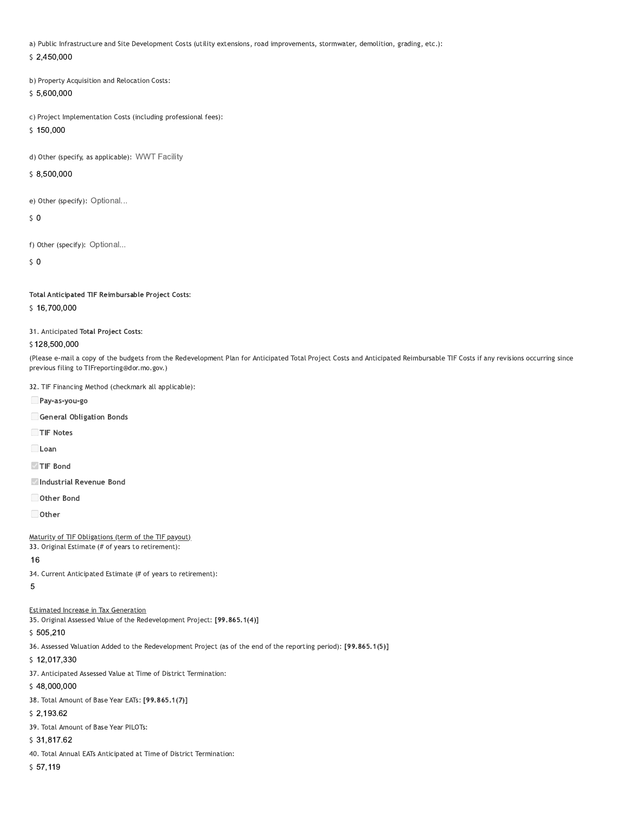a) Public Infrastructure and Site Development Costs (utility extensions, road improvements, stormwater, demolition, grading, etc.):

 $$2,450,000$ 

b) Property Acquisition and Relocation Costs: \$5,600,000

c) Project Implementation Costs (including professional fees):

\$150,000

d) Other (specify, as applicable): WWT Facility

\$8,500,000

e) Other (specify): Optional...

 $\mathsf{S}$  0

f) Other (specify): Optional...

 $\mathsf{S}$  0

Total Anticipated TIF Reimbursable Project Costs:

### \$16,700,000

31. Anticipated Total Project Costs:

#### \$128,500,000

(Please e-mail a copy of the budgets from the Redevelopment Plan for Anticipated Total Project Costs and Anticipated Reimbursable TIF Costs if any revisions occurring since previous filing to TIFreporting@dor.mo.gov.)

32. TIF Financing Method (checkmark all applicable):

Pay-as-you-go

General Obligation Bonds

TIF Notes

 $\Box$ Loan

TIF Bond

Industrial Revenue Bond

Other Bond

 $\Box$  Other

Maturity of TIF Obligations (term of the TIF payout)

33. Original Estimate (# of years to retirement):

#### 16

34. Current Anticipated Estimate (# of years to retirement):

## $\overline{5}$

**Estimated Increase in Tax Generation** 

35. Original Assessed Value of the Redevelopment Project: [99.865.1(4)]

\$505,210

36. Assessed Valuation Added to the Redevelopment Project (as of the end of the reporting period): [99.865.1(5)]

\$12,017,330

37. Anticipated Assessed Value at Time of District Termination:

## \$48,000,000

38. Total Amount of Base Year EATs: [99.865.1(7)]

 $$2,193.62$ 

39. Total Amount of Base Year PILOTs:

# \$31,817.62

40. Total Annual EATs Anticipated at Time of District Termination:

 $$57,119$